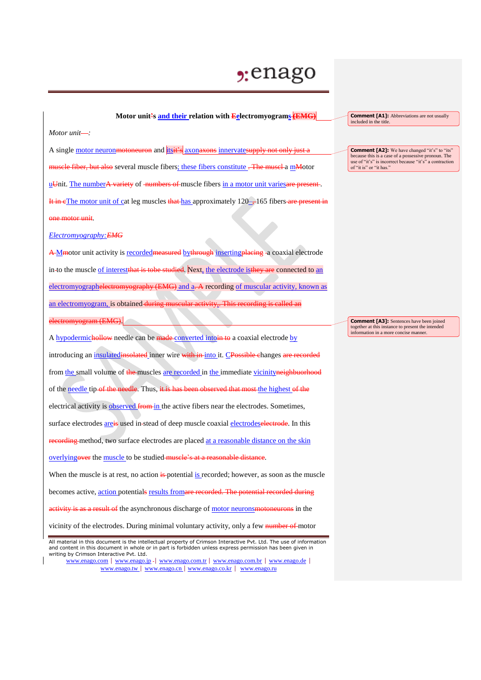## $2:$ enago

## **Motor unit's and their relation with Eelectromyograms (EMG)**

*Motor unit :*

A single motor neuronmotoneuron and itsit's axonaxons innervatesupply not only just a muscle fiber, but also several muscle fibers; these fibers constitute . The muscle a mMotor uUnit. The numberA variety of numbers of muscle fibers in a motor unit varies are present. It in cThe motor unit of cat leg muscles that has approximately 120–, 165 fibers are present in one motor unit.

*Electromyography:EMG*

A M motor unit activity is recorded measured by through inserting placing - a coaxial electrode in-to the muscle of interestthat is to be studied. Next, the electrode is they are connected to an electromyographelectromyography (EMG) and a-A recording of muscular activity, known as an electromyogram, is obtained during muscular activity, electromyogram (EMG).

A hypodermichollow needle can be made converted into in to a coaxial electrode by introducing an insulatedinsolated inner wire with in-into it. CPossible changes are recorded from the small volume of the muscles are recorded in the immediate vicinityneighbuorhood of the needle tip of the needle. Thus, it is has been observed that most the highest of the electrical activity is **observed** from in the active fibers near the electrodes. Sometimes, surface electrodes areis used in-stead of deep muscle coaxial electrodeselectrode. In this recording method, two surface electrodes are placed at a reasonable distance on the skin overlyingover the muscle to be studied muscle's at a reasonable distance. When the muscle is at rest, no action is potential is recorded; however, as soon as the muscle becomes active, action potentials results fromare recorded. The potential recorded during activity is as a result of the asynchronous discharge of motor neurons moton eurons in the

vicinity of the electrodes. During minimal voluntary activity, only a few number of motor

www.enago.com | www.enago.jp - | www.enago.com.tr | www.enago.com.br | www.enago.de | www.enago.tw | www.enago.cn | www.enago.co.kr | www.enago.ru

**Comment [A1]:** Abbreviations are not usually included in the title

**Comment [A2]:** We have changed "it's" to "its" because this is a case of a possessive pronoun. The use of "it's" is incorrect because "it's" a contraction of "it is" or "it has."

**Comment [A3]:** Sentences have been joined together at this instance to present the intended information in a more concise manner.

All material in this document is the intellectual property of Crimson Interactive Pvt. Ltd. The use of information and content in this document in whole or in part is forbidden unless express permission has been given in writing by Crimson Interactive Pvt. Ltd.